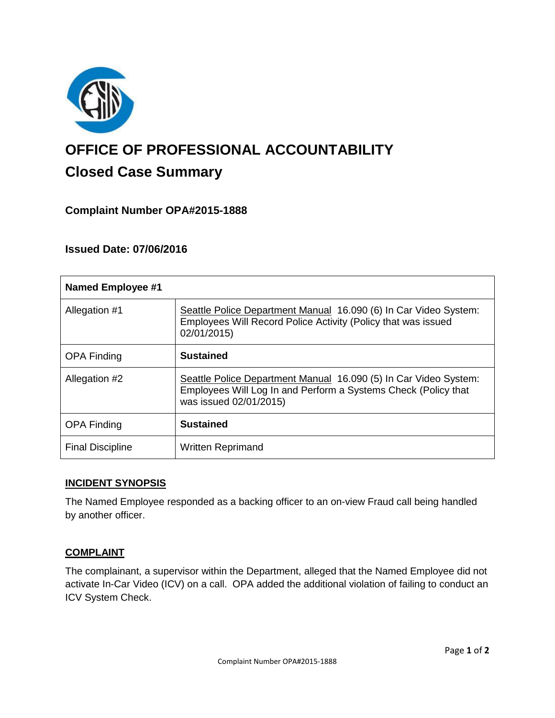

# **OFFICE OF PROFESSIONAL ACCOUNTABILITY Closed Case Summary**

# **Complaint Number OPA#2015-1888**

# **Issued Date: 07/06/2016**

| <b>Named Employee #1</b> |                                                                                                                                                              |
|--------------------------|--------------------------------------------------------------------------------------------------------------------------------------------------------------|
| Allegation #1            | Seattle Police Department Manual 16.090 (6) In Car Video System:<br>Employees Will Record Police Activity (Policy that was issued<br>02/01/2015)             |
| <b>OPA Finding</b>       | <b>Sustained</b>                                                                                                                                             |
| Allegation #2            | Seattle Police Department Manual 16.090 (5) In Car Video System:<br>Employees Will Log In and Perform a Systems Check (Policy that<br>was issued 02/01/2015) |
| <b>OPA Finding</b>       | <b>Sustained</b>                                                                                                                                             |
| <b>Final Discipline</b>  | <b>Written Reprimand</b>                                                                                                                                     |

## **INCIDENT SYNOPSIS**

The Named Employee responded as a backing officer to an on-view Fraud call being handled by another officer.

## **COMPLAINT**

The complainant, a supervisor within the Department, alleged that the Named Employee did not activate In-Car Video (ICV) on a call. OPA added the additional violation of failing to conduct an ICV System Check.